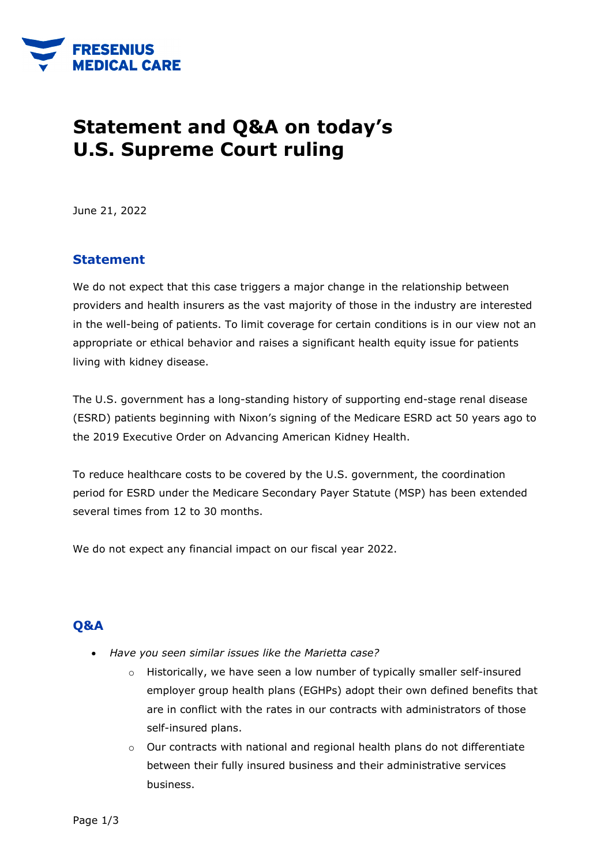

## **Statement and Q&A on today's U.S. Supreme Court ruling**

June 21, 2022

## **Statement**

We do not expect that this case triggers a major change in the relationship between providers and health insurers as the vast majority of those in the industry are interested in the well-being of patients. To limit coverage for certain conditions is in our view not an appropriate or ethical behavior and raises a significant health equity issue for patients living with kidney disease.

The U.S. government has a long-standing history of supporting end-stage renal disease (ESRD) patients beginning with Nixon's signing of the Medicare ESRD act 50 years ago to the 2019 Executive Order on Advancing American Kidney Health.

To reduce healthcare costs to be covered by the U.S. government, the coordination period for ESRD under the Medicare Secondary Payer Statute (MSP) has been extended several times from 12 to 30 months.

We do not expect any financial impact on our fiscal year 2022.

## **Q&A**

- *Have you seen similar issues like the Marietta case?*
	- $\circ$  Historically, we have seen a low number of typically smaller self-insured employer group health plans (EGHPs) adopt their own defined benefits that are in conflict with the rates in our contracts with administrators of those self-insured plans.
	- $\circ$  Our contracts with national and regional health plans do not differentiate between their fully insured business and their administrative services business.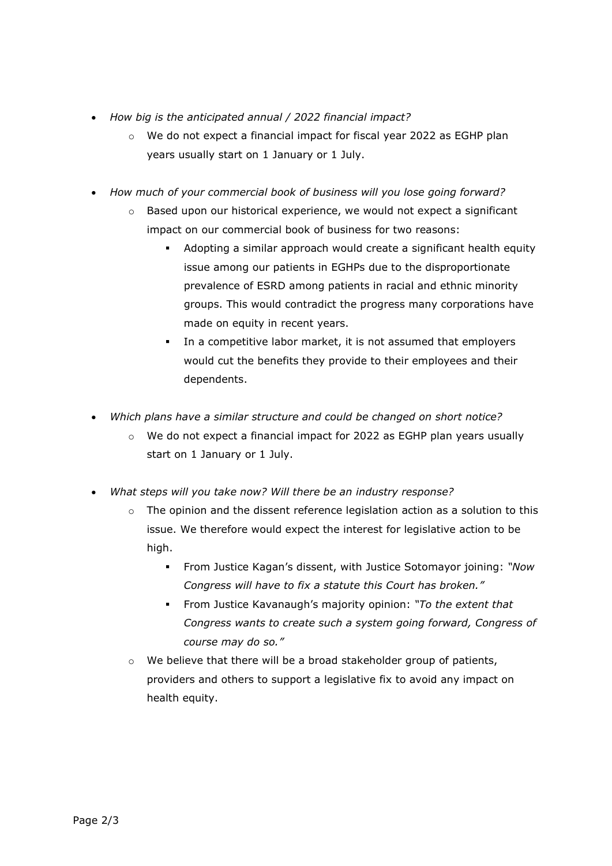- *How big is the anticipated annual / 2022 financial impact?*
	- $\circ$  We do not expect a financial impact for fiscal year 2022 as EGHP plan years usually start on 1 January or 1 July.
- *How much of your commercial book of business will you lose going forward?*
	- $\circ$  Based upon our historical experience, we would not expect a significant impact on our commercial book of business for two reasons:
		- Adopting a similar approach would create a significant health equity issue among our patients in EGHPs due to the disproportionate prevalence of ESRD among patients in racial and ethnic minority groups. This would contradict the progress many corporations have made on equity in recent years.
		- In a competitive labor market, it is not assumed that employers would cut the benefits they provide to their employees and their dependents.
- *Which plans have a similar structure and could be changed on short notice?*
	- $\circ$  We do not expect a financial impact for 2022 as EGHP plan years usually start on 1 January or 1 July.
- *What steps will you take now? Will there be an industry response?*
	- $\circ$  The opinion and the dissent reference legislation action as a solution to this issue. We therefore would expect the interest for legislative action to be high.
		- From Justice Kagan's dissent, with Justice Sotomayor joining: *"Now Congress will have to fix a statute this Court has broken."*
		- From Justice Kavanaugh's majority opinion: *"To the extent that Congress wants to create such a system going forward, Congress of course may do so."*
	- $\circ$  We believe that there will be a broad stakeholder group of patients, providers and others to support a legislative fix to avoid any impact on health equity.